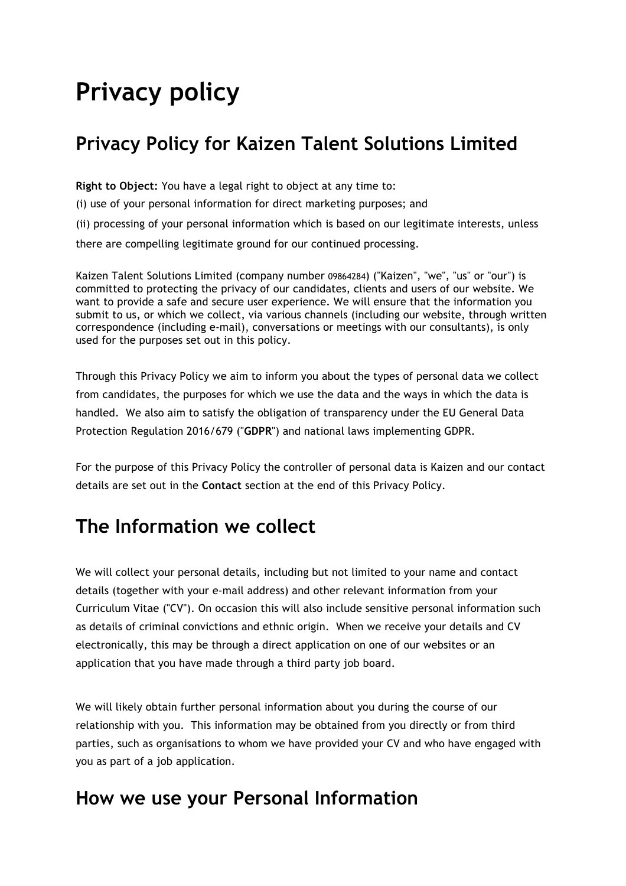# **Privacy policy**

# **Privacy Policy for Kaizen Talent Solutions Limited**

**Right to Object:** You have a legal right to object at any time to:

(i) use of your personal information for direct marketing purposes; and

(ii) processing of your personal information which is based on our legitimate interests, unless there are compelling legitimate ground for our continued processing.

Kaizen Talent Solutions Limited (company number 09864284) ("Kaizen", "we", "us" or "our") is committed to protecting the privacy of our candidates, clients and users of our website. We want to provide a safe and secure user experience. We will ensure that the information you submit to us, or which we collect, via various channels (including our website, through written correspondence (including e-mail), conversations or meetings with our consultants), is only used for the purposes set out in this policy.

Through this Privacy Policy we aim to inform you about the types of personal data we collect from candidates, the purposes for which we use the data and the ways in which the data is handled. We also aim to satisfy the obligation of transparency under the EU General Data Protection Regulation 2016/679 ("**GDPR**") and national laws implementing GDPR.

For the purpose of this Privacy Policy the controller of personal data is Kaizen and our contact details are set out in the **Contact** section at the end of this Privacy Policy.

### **The Information we collect**

We will collect your personal details, including but not limited to your name and contact details (together with your e-mail address) and other relevant information from your Curriculum Vitae ("CV"). On occasion this will also include sensitive personal information such as details of criminal convictions and ethnic origin. When we receive your details and CV electronically, this may be through a direct application on one of our websites or an application that you have made through a third party job board.

We will likely obtain further personal information about you during the course of our relationship with you. This information may be obtained from you directly or from third parties, such as organisations to whom we have provided your CV and who have engaged with you as part of a job application.

### **How we use your Personal Information**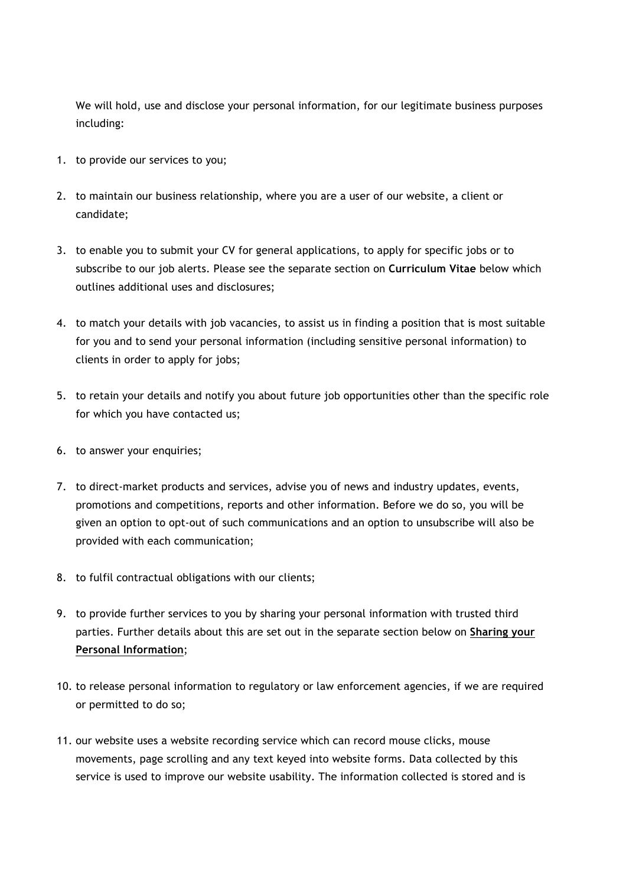We will hold, use and disclose your personal information, for our legitimate business purposes including:

- 1. to provide our services to you;
- 2. to maintain our business relationship, where you are a user of our website, a client or candidate;
- 3. to enable you to submit your CV for general applications, to apply for specific jobs or to subscribe to our job alerts. Please see the separate section on **Curriculum Vitae** below which outlines additional uses and disclosures;
- 4. to match your details with job vacancies, to assist us in finding a position that is most suitable for you and to send your personal information (including sensitive personal information) to clients in order to apply for jobs;
- 5. to retain your details and notify you about future job opportunities other than the specific role for which you have contacted us;
- 6. to answer your enquiries;
- 7. to direct-market products and services, advise you of news and industry updates, events, promotions and competitions, reports and other information. Before we do so, you will be given an option to opt-out of such communications and an option to unsubscribe will also be provided with each communication;
- 8. to fulfil contractual obligations with our clients;
- 9. to provide further services to you by sharing your personal information with trusted third parties. Further details about this are set out in the separate section below on **Sharing your Personal Information**;
- 10. to release personal information to regulatory or law enforcement agencies, if we are required or permitted to do so;
- 11. our website uses a website recording service which can record mouse clicks, mouse movements, page scrolling and any text keyed into website forms. Data collected by this service is used to improve our website usability. The information collected is stored and is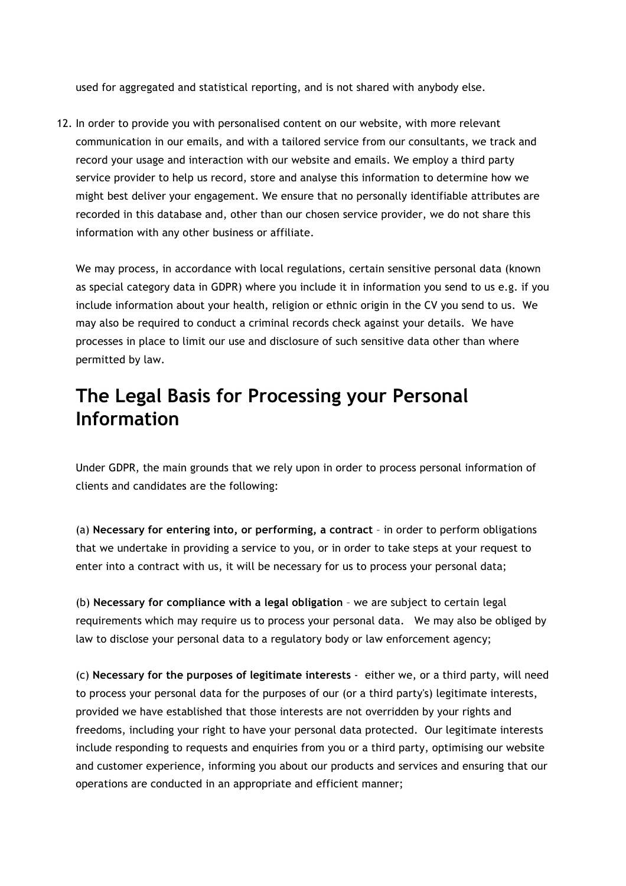used for aggregated and statistical reporting, and is not shared with anybody else.

12. In order to provide you with personalised content on our website, with more relevant communication in our emails, and with a tailored service from our consultants, we track and record your usage and interaction with our website and emails. We employ a third party service provider to help us record, store and analyse this information to determine how we might best deliver your engagement. We ensure that no personally identifiable attributes are recorded in this database and, other than our chosen service provider, we do not share this information with any other business or affiliate.

We may process, in accordance with local regulations, certain sensitive personal data (known as special category data in GDPR) where you include it in information you send to us e.g. if you include information about your health, religion or ethnic origin in the CV you send to us. We may also be required to conduct a criminal records check against your details. We have processes in place to limit our use and disclosure of such sensitive data other than where permitted by law.

### **The Legal Basis for Processing your Personal Information**

Under GDPR, the main grounds that we rely upon in order to process personal information of clients and candidates are the following:

(a) **Necessary for entering into, or performing, a contract** – in order to perform obligations that we undertake in providing a service to you, or in order to take steps at your request to enter into a contract with us, it will be necessary for us to process your personal data;

(b) **Necessary for compliance with a legal obligation** – we are subject to certain legal requirements which may require us to process your personal data. We may also be obliged by law to disclose your personal data to a regulatory body or law enforcement agency;

(c) **Necessary for the purposes of legitimate interests** - either we, or a third party, will need to process your personal data for the purposes of our (or a third party's) legitimate interests, provided we have established that those interests are not overridden by your rights and freedoms, including your right to have your personal data protected. Our legitimate interests include responding to requests and enquiries from you or a third party, optimising our website and customer experience, informing you about our products and services and ensuring that our operations are conducted in an appropriate and efficient manner;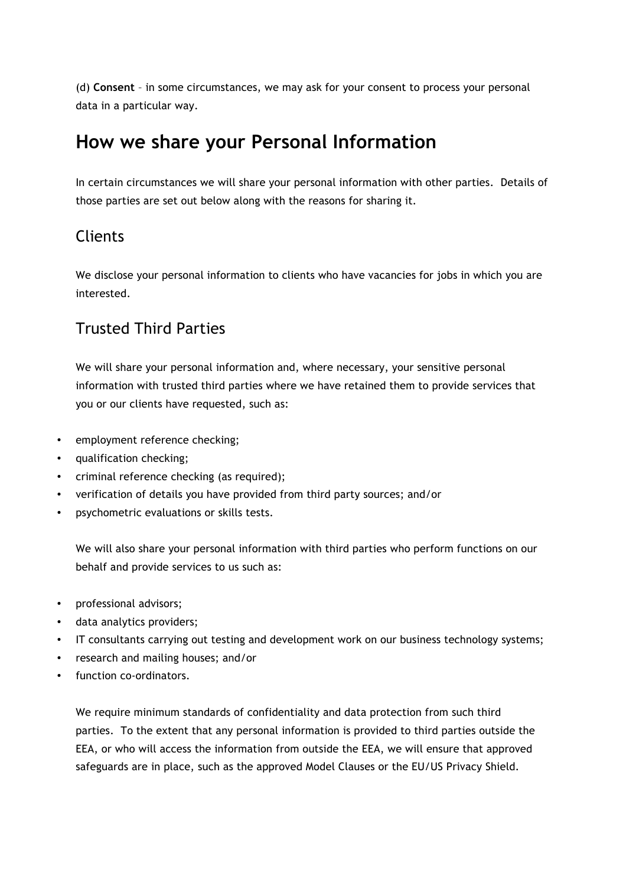(d) **Consent** – in some circumstances, we may ask for your consent to process your personal data in a particular way.

# **How we share your Personal Information**

In certain circumstances we will share your personal information with other parties. Details of those parties are set out below along with the reasons for sharing it.

#### **Clients**

We disclose your personal information to clients who have vacancies for jobs in which you are interested.

#### Trusted Third Parties

We will share your personal information and, where necessary, your sensitive personal information with trusted third parties where we have retained them to provide services that you or our clients have requested, such as:

- employment reference checking;
- qualification checking;
- criminal reference checking (as required);
- verification of details you have provided from third party sources; and/or
- psychometric evaluations or skills tests.

We will also share your personal information with third parties who perform functions on our behalf and provide services to us such as:

- professional advisors;
- data analytics providers;
- IT consultants carrying out testing and development work on our business technology systems;
- research and mailing houses; and/or
- function co-ordinators.

We require minimum standards of confidentiality and data protection from such third parties. To the extent that any personal information is provided to third parties outside the EEA, or who will access the information from outside the EEA, we will ensure that approved safeguards are in place, such as the approved Model Clauses or the EU/US Privacy Shield.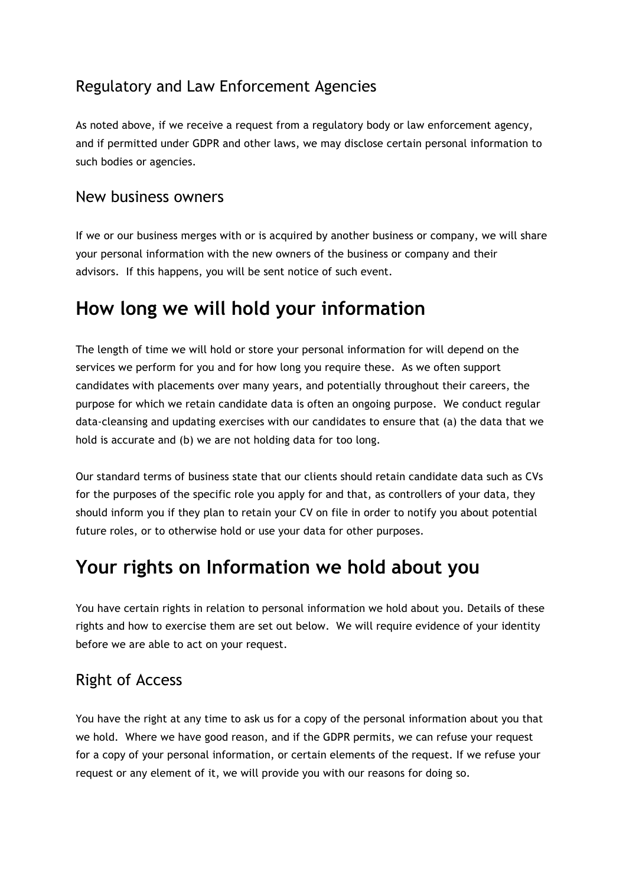#### Regulatory and Law Enforcement Agencies

As noted above, if we receive a request from a regulatory body or law enforcement agency, and if permitted under GDPR and other laws, we may disclose certain personal information to such bodies or agencies.

#### New business owners

If we or our business merges with or is acquired by another business or company, we will share your personal information with the new owners of the business or company and their advisors. If this happens, you will be sent notice of such event.

# **How long we will hold your information**

The length of time we will hold or store your personal information for will depend on the services we perform for you and for how long you require these. As we often support candidates with placements over many years, and potentially throughout their careers, the purpose for which we retain candidate data is often an ongoing purpose. We conduct regular data-cleansing and updating exercises with our candidates to ensure that (a) the data that we hold is accurate and (b) we are not holding data for too long.

Our standard terms of business state that our clients should retain candidate data such as CVs for the purposes of the specific role you apply for and that, as controllers of your data, they should inform you if they plan to retain your CV on file in order to notify you about potential future roles, or to otherwise hold or use your data for other purposes.

### **Your rights on Information we hold about you**

You have certain rights in relation to personal information we hold about you. Details of these rights and how to exercise them are set out below. We will require evidence of your identity before we are able to act on your request.

#### Right of Access

You have the right at any time to ask us for a copy of the personal information about you that we hold. Where we have good reason, and if the GDPR permits, we can refuse your request for a copy of your personal information, or certain elements of the request. If we refuse your request or any element of it, we will provide you with our reasons for doing so.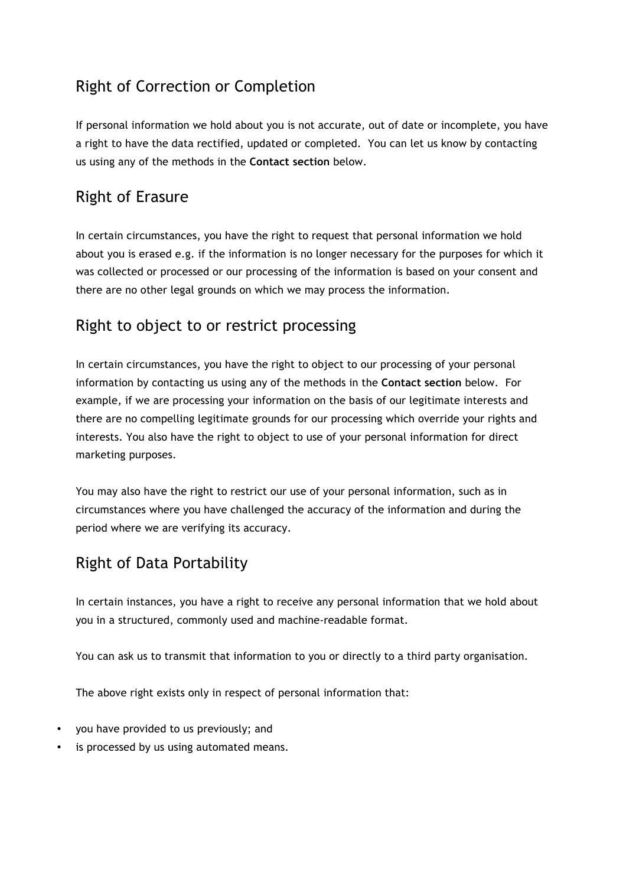#### Right of Correction or Completion

If personal information we hold about you is not accurate, out of date or incomplete, you have a right to have the data rectified, updated or completed. You can let us know by contacting us using any of the methods in the **Contact section** below.

#### Right of Erasure

In certain circumstances, you have the right to request that personal information we hold about you is erased e.g. if the information is no longer necessary for the purposes for which it was collected or processed or our processing of the information is based on your consent and there are no other legal grounds on which we may process the information.

#### Right to object to or restrict processing

In certain circumstances, you have the right to object to our processing of your personal information by contacting us using any of the methods in the **Contact section** below. For example, if we are processing your information on the basis of our legitimate interests and there are no compelling legitimate grounds for our processing which override your rights and interests. You also have the right to object to use of your personal information for direct marketing purposes.

You may also have the right to restrict our use of your personal information, such as in circumstances where you have challenged the accuracy of the information and during the period where we are verifying its accuracy.

#### Right of Data Portability

In certain instances, you have a right to receive any personal information that we hold about you in a structured, commonly used and machine-readable format.

You can ask us to transmit that information to you or directly to a third party organisation.

The above right exists only in respect of personal information that:

- you have provided to us previously; and
- is processed by us using automated means.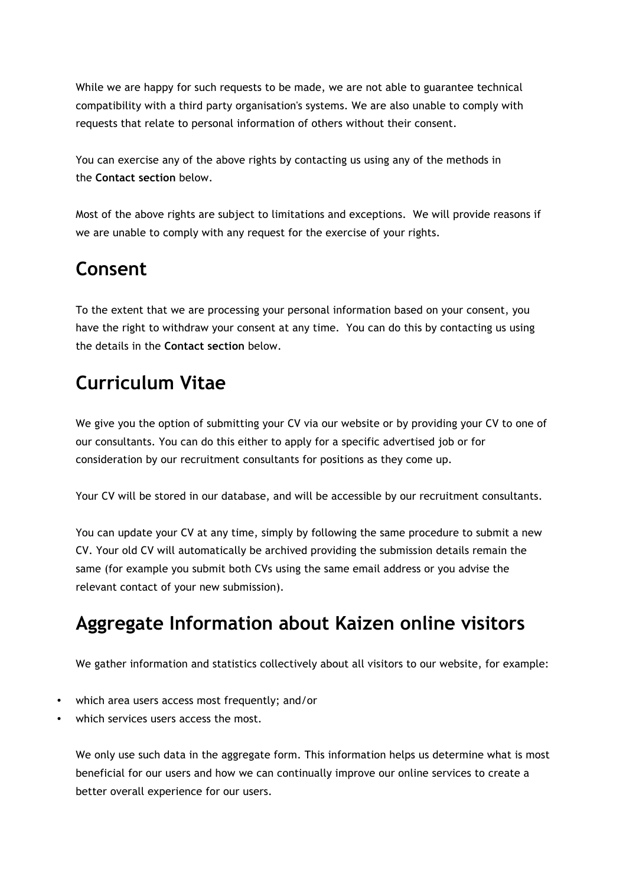While we are happy for such requests to be made, we are not able to guarantee technical compatibility with a third party organisation's systems. We are also unable to comply with requests that relate to personal information of others without their consent.

You can exercise any of the above rights by contacting us using any of the methods in the **Contact section** below.

Most of the above rights are subject to limitations and exceptions. We will provide reasons if we are unable to comply with any request for the exercise of your rights.

# **Consent**

To the extent that we are processing your personal information based on your consent, you have the right to withdraw your consent at any time. You can do this by contacting us using the details in the **Contact section** below.

# **Curriculum Vitae**

We give you the option of submitting your CV via our website or by providing your CV to one of our consultants. You can do this either to apply for a specific advertised job or for consideration by our recruitment consultants for positions as they come up.

Your CV will be stored in our database, and will be accessible by our recruitment consultants.

You can update your CV at any time, simply by following the same procedure to submit a new CV. Your old CV will automatically be archived providing the submission details remain the same (for example you submit both CVs using the same email address or you advise the relevant contact of your new submission).

# **Aggregate Information about Kaizen online visitors**

We gather information and statistics collectively about all visitors to our website, for example:

- which area users access most frequently; and/or
- which services users access the most.

We only use such data in the aggregate form. This information helps us determine what is most beneficial for our users and how we can continually improve our online services to create a better overall experience for our users.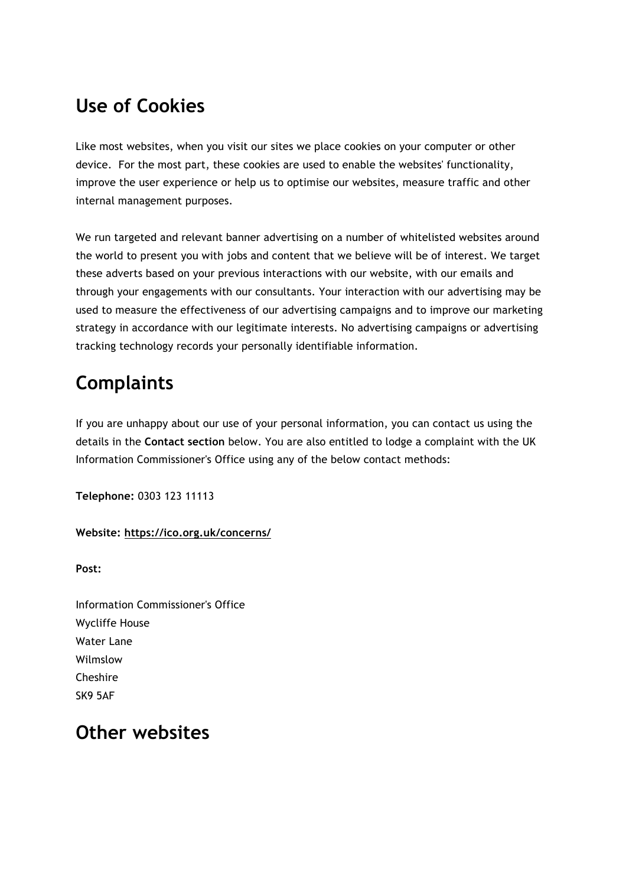# **Use of Cookies**

Like most websites, when you visit our sites we place cookies on your computer or other device. For the most part, these cookies are used to enable the websites' functionality, improve the user experience or help us to optimise our websites, measure traffic and other internal management purposes.

We run targeted and relevant banner advertising on a number of whitelisted websites around the world to present you with jobs and content that we believe will be of interest. We target these adverts based on your previous interactions with our website, with our emails and through your engagements with our consultants. Your interaction with our advertising may be used to measure the effectiveness of our advertising campaigns and to improve our marketing strategy in accordance with our legitimate interests. No advertising campaigns or advertising tracking technology records your personally identifiable information.

# **Complaints**

If you are unhappy about our use of your personal information, you can contact us using the details in the **Contact section** below. You are also entitled to lodge a complaint with the UK Information Commissioner's Office using any of the below contact methods:

**Telephone:** 0303 123 11113

**Website: https://ico.org.uk/concerns/**

**Post:**

Information Commissioner's Office Wycliffe House Water Lane Wilmslow Cheshire SK9 5AF

### **Other websites**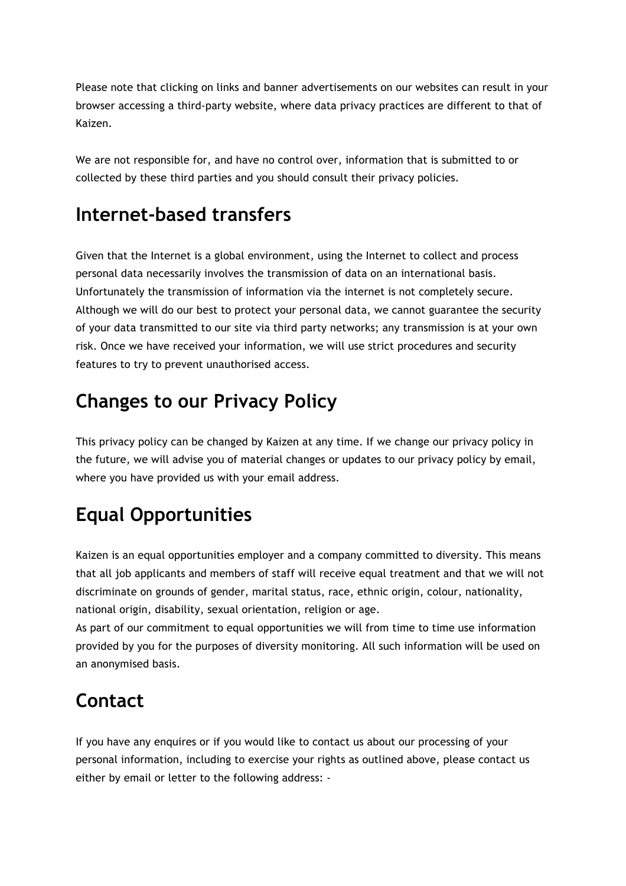Please note that clicking on links and banner advertisements on our websites can result in your browser accessing a third-party website, where data privacy practices are different to that of Kaizen.

We are not responsible for, and have no control over, information that is submitted to or collected by these third parties and you should consult their privacy policies.

# **Internet-based transfers**

Given that the Internet is a global environment, using the Internet to collect and process personal data necessarily involves the transmission of data on an international basis. Unfortunately the transmission of information via the internet is not completely secure. Although we will do our best to protect your personal data, we cannot guarantee the security of your data transmitted to our site via third party networks; any transmission is at your own risk. Once we have received your information, we will use strict procedures and security features to try to prevent unauthorised access.

# **Changes to our Privacy Policy**

This privacy policy can be changed by Kaizen at any time. If we change our privacy policy in the future, we will advise you of material changes or updates to our privacy policy by email, where you have provided us with your email address.

# **Equal Opportunities**

Kaizen is an equal opportunities employer and a company committed to diversity. This means that all job applicants and members of staff will receive equal treatment and that we will not discriminate on grounds of gender, marital status, race, ethnic origin, colour, nationality, national origin, disability, sexual orientation, religion or age.

As part of our commitment to equal opportunities we will from time to time use information provided by you for the purposes of diversity monitoring. All such information will be used on an anonymised basis.

# **Contact**

If you have any enquires or if you would like to contact us about our processing of your personal information, including to exercise your rights as outlined above, please contact us either by email or letter to the following address: -